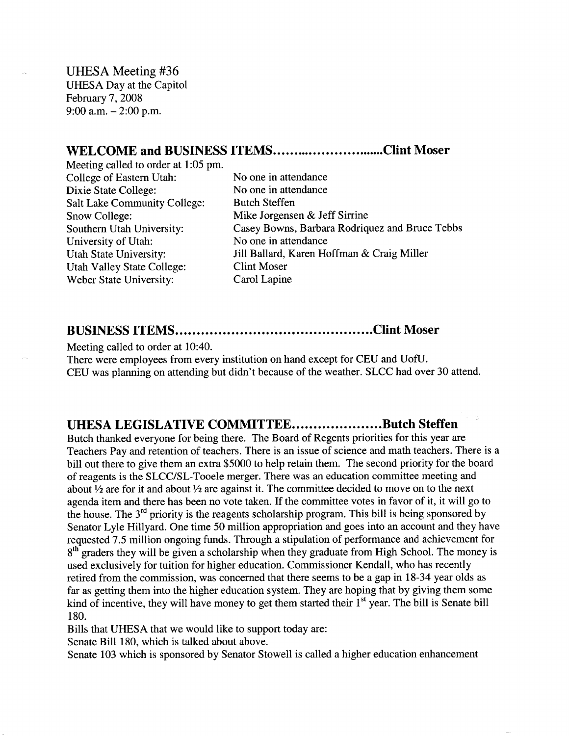UHESA Meeting #36 UHESA Day at the Capitol February 7, 2008 9:00 a.m.  $-2:00$  p.m.

## WELCOME and BUSINESS ITEMS..............................Clint Moser

Meeting called to order at 1:05 pm. College of Eastern Utah: No one in attendance Dixie State College: No one in attendance Salt Lake Community College: Butch Steffen Snow College: Mike Jorgensen & Jeff Sirrine University of Utah: No one in attendance Utah Valley State College: Clint Moser Weber State University: Carol Lapine

Southern Utah University: Casey Bowns, Barbara Rodriquez and Bruce Tebbs Utah State University: Jill Ballard, Karen Hoffman & Craig Miller

## **BUSINESS ITEMS Clint Moser**

Meeting called to order at 10:40.

There were employees from every institution on hand except for CEU and UofU. CEU was planning on attending but didn't because of the weather. SLCC had over 30 attend.

## **UHESA LEGISLATIVE COMMITTEE....................Butch Steffen**

Butch thanked everyone for being there. The Board of Regents priorities for this year are Teachers Pay and retention of teachers. There is an issue of science and math teachers. There is a bill out there to give them an extra \$5000 to help retain them. The second priority for the board of reagents is the SLCC/SL-Tooele merger. There was an education committee meeting and about <sup>1</sup>/<sub>2</sub> are for it and about <sup>1</sup>/<sub>2</sub> are against it. The committee decided to move on to the next agenda item and there has been no vote taken. If the committee votes in favor of it, it will go to the house. The  $3<sup>rd</sup>$  priority is the reagents scholarship program. This bill is being sponsored by Senator Lyle Hillyard. One time 50 million appropriation and goes into an account and they have requested 7.5 million ongoing funds. Through a stipulation of performance and achievement for 8<sup>th</sup> graders they will be given a scholarship when they graduate from High School. The money is used exclusively for tuition for higher education. Commissioner Kendall, who has recently retired from the commission, was concerned that there seems to be a gap in 18-34 year olds as far as getting them into the higher education system. They are hoping that by giving them some kind of incentive, they will have money to get them started their  $1<sup>st</sup>$  year. The bill is Senate bill 180.

Bills that UHESA that we would like to support today are:

Senate Bill 180, which is talked about above.

Senate 103 which is sponsored by Senator Stowell is called a higher education enhancement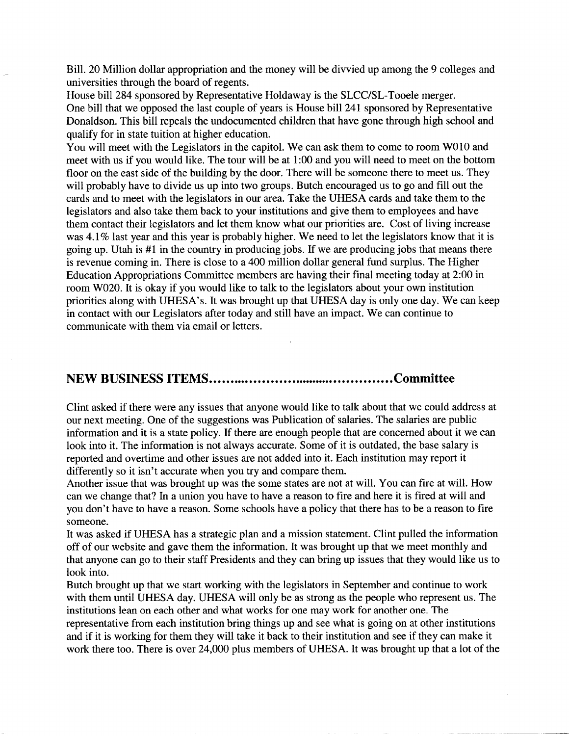Bill. 20 Million dollar appropriation and the money will be divvied up among the 9 colleges and universities through the board of regents.

House bill 284 sponsored by Representative Holdaway is the SLCC/SL-Tooele merger. One bill that we opposed the last couple of years is House bill 241 sponsored by Representative Donaldson. This bill repeals the undocumented children that have gone through high school and qualify for in state tuition at higher education.

You will meet with the Legislators in the capitol. We can ask them to come to room W010 and meet with us if you would like. The tour will be at 1:00 and you will need to meet on the bottom floor on the east side of the building by the door. There will be someone there to meet us. They will probably have to divide us up into two groups. Butch encouraged us to go and fill out the cards and to meet with the legislators in our area. Take the UHESA cards and take them to the legislators and also take them back to your institutions and give them to employees and have them contact their legislators and let them know what our priorities are. Cost of living increase was 4.1% last year and this year is probably higher. We need to let the legislators know that it is going up. Utah is #1 in the country in producing jobs. If we are producing jobs that means there is revenue coming in. There is close to a 400 million dollar general fund surplus. The Higher Education Appropriations Committee members are having their final meeting today at 2:00 in room W020. It is okay if you would like to talk to the legislators about your own institution priorities along with UHESA's. It was brought up that UHESA day is only one day. We can keep in contact with our Legislators after today and still have an impact. We can continue to communicate with them via email or letters.

## **NEW BUSINESS ITEMS Committee**

Clint asked if there were any issues that anyone would like to talk about that we could address at our next meeting. One of the suggestions was Publication of salaries. The salaries are public information and it is a state policy. If there are enough people that are concerned about it we can look into it. The information is not always accurate. Some of it is outdated, the base salary is reported and overtime and other issues are not added into it. Each institution may report it differently so it isn't accurate when you try and compare them.

Another issue that was brought up was the some states are not at will. You can fire at will. How can we change that? In a union you have to have a reason to fire and here it is fired at will and you don't have to have a reason. Some schools have a policy that there has to be a reason to fire someone.

It was asked if UHESA has a strategic plan and a mission statement. Clint pulled the information off of our website and gave them the information. It was brought up that we meet monthly and that anyone can go to their staff Presidents and they can bring up issues that they would like us to look into.

Butch brought up that we start working with the legislators in September and continue to work with them until UHESA day. UHESA will only be as strong as the people who represent us. The institutions lean on each other and what works for one may work for another one. The representative from each institution bring things up and see what is going on at other institutions and if it is working for them they will take it back to their institution and see if they can make it work there too. There is over 24,000 plus members of UHESA. It was brought up that a lot of the